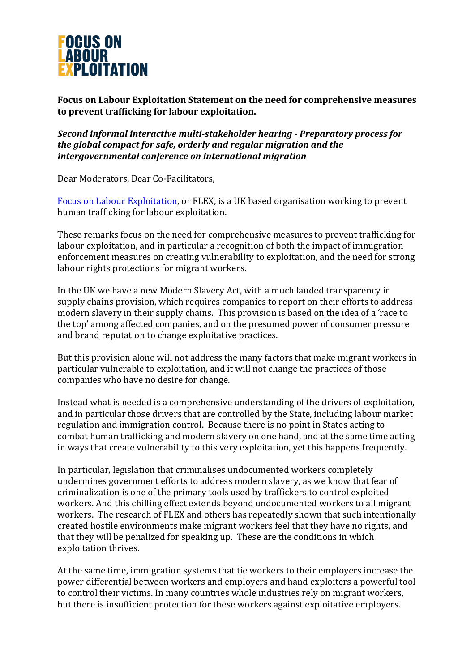

Focus on Labour Exploitation Statement on the need for comprehensive measures **to prevent trafficking for labour exploitation.** 

**Second informal interactive multi-stakeholder hearing - Preparatory process for** *the global compact for safe, orderly and regular migration and the intergovernmental conference on international migration*

Dear Moderators, Dear Co-Facilitators,

Focus on Labour Exploitation, or FLEX, is a UK based organisation working to prevent human trafficking for labour exploitation.

These remarks focus on the need for comprehensive measures to prevent trafficking for labour exploitation, and in particular a recognition of both the impact of immigration enforcement measures on creating vulnerability to exploitation, and the need for strong labour rights protections for migrant workers.

In the UK we have a new Modern Slavery Act, with a much lauded transparency in supply chains provision, which requires companies to report on their efforts to address modern slavery in their supply chains. This provision is based on the idea of a 'race to the top' among affected companies, and on the presumed power of consumer pressure and brand reputation to change exploitative practices.

But this provision alone will not address the many factors that make migrant workers in particular vulnerable to exploitation, and it will not change the practices of those companies who have no desire for change.

Instead what is needed is a comprehensive understanding of the drivers of exploitation, and in particular those drivers that are controlled by the State, including labour market regulation and immigration control. Because there is no point in States acting to combat human trafficking and modern slavery on one hand, and at the same time acting in ways that create vulnerability to this very exploitation, yet this happens frequently.

In particular, legislation that criminalises undocumented workers completely undermines government efforts to address modern slavery, as we know that fear of criminalization is one of the primary tools used by traffickers to control exploited workers. And this chilling effect extends beyond undocumented workers to all migrant workers. The research of FLEX and others has repeatedly shown that such intentionally created hostile environments make migrant workers feel that they have no rights, and that they will be penalized for speaking up. These are the conditions in which exploitation thrives.

At the same time, immigration systems that tie workers to their employers increase the power differential between workers and employers and hand exploiters a powerful tool to control their victims. In many countries whole industries rely on migrant workers, but there is insufficient protection for these workers against exploitative employers.